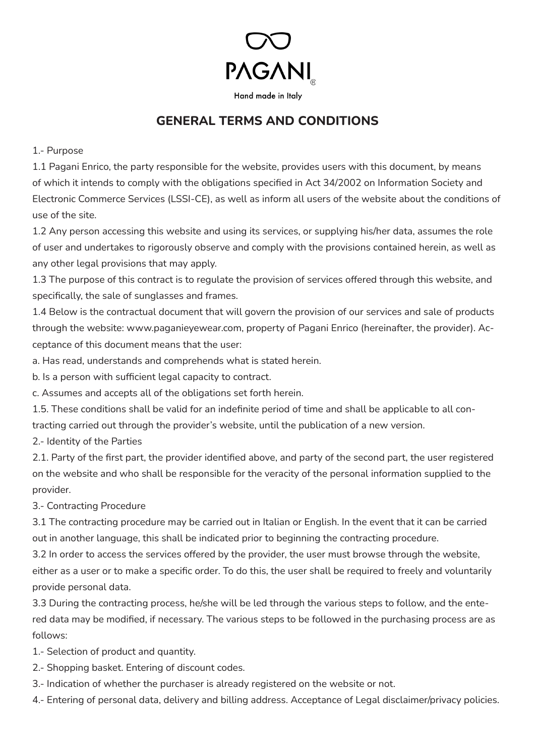

## **GENERAL TERMS AND CONDITIONS**

1.- Purpose

1.1 Pagani Enrico, the party responsible for the website, provides users with this document, by means of which it intends to comply with the obligations specified in Act 34/2002 on Information Society and Electronic Commerce Services (LSSI-CE), as well as inform all users of the website about the conditions of use of the site.

1.2 Any person accessing this website and using its services, or supplying his/her data, assumes the role of user and undertakes to rigorously observe and comply with the provisions contained herein, as well as any other legal provisions that may apply.

1.3 The purpose of this contract is to regulate the provision of services offered through this website, and specifically, the sale of sunglasses and frames.

1.4 Below is the contractual document that will govern the provision of our services and sale of products through the website: www.paganieyewear.com, property of Pagani Enrico (hereinafter, the provider). Acceptance of this document means that the user:

a. Has read, understands and comprehends what is stated herein.

b. Is a person with sufficient legal capacity to contract.

c. Assumes and accepts all of the obligations set forth herein.

1.5. These conditions shall be valid for an indefinite period of time and shall be applicable to all contracting carried out through the provider's website, until the publication of a new version.

2.- Identity of the Parties

2.1. Party of the first part, the provider identified above, and party of the second part, the user registered on the website and who shall be responsible for the veracity of the personal information supplied to the provider.

3.- Contracting Procedure

3.1 The contracting procedure may be carried out in Italian or English. In the event that it can be carried out in another language, this shall be indicated prior to beginning the contracting procedure.

3.2 In order to access the services offered by the provider, the user must browse through the website, either as a user or to make a specific order. To do this, the user shall be required to freely and voluntarily provide personal data.

3.3 During the contracting process, he/she will be led through the various steps to follow, and the entered data may be modified, if necessary. The various steps to be followed in the purchasing process are as follows:

1.- Selection of product and quantity.

- 2.- Shopping basket. Entering of discount codes.
- 3.- Indication of whether the purchaser is already registered on the website or not.
- 4.- Entering of personal data, delivery and billing address. Acceptance of Legal disclaimer/privacy policies.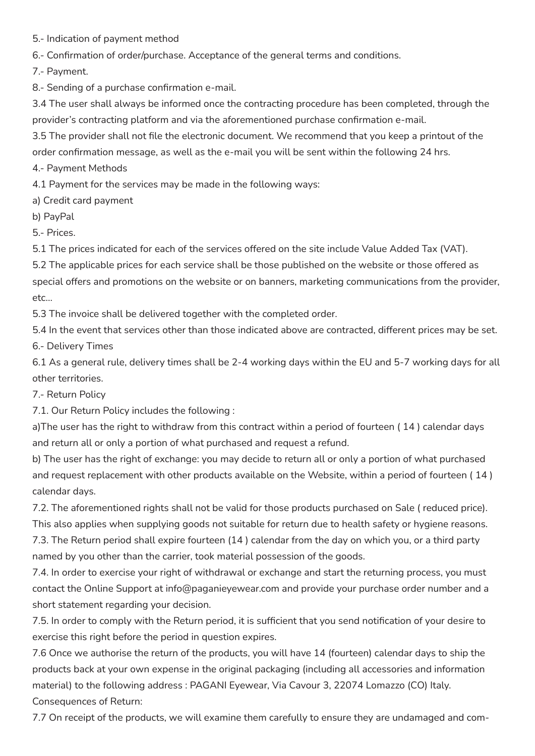5.- Indication of payment method

6.- Confirmation of order/purchase. Acceptance of the general terms and conditions.

7.- Payment.

8.- Sending of a purchase confirmation e-mail.

3.4 The user shall always be informed once the contracting procedure has been completed, through the provider's contracting platform and via the aforementioned purchase confirmation e-mail.

3.5 The provider shall not file the electronic document. We recommend that you keep a printout of the order confirmation message, as well as the e-mail you will be sent within the following 24 hrs.

4.- Payment Methods

4.1 Payment for the services may be made in the following ways:

a) Credit card payment

b) PayPal

5.- Prices.

5.1 The prices indicated for each of the services offered on the site include Value Added Tax (VAT).

5.2 The applicable prices for each service shall be those published on the website or those offered as special offers and promotions on the website or on banners, marketing communications from the provider, etc...

5.3 The invoice shall be delivered together with the completed order.

5.4 In the event that services other than those indicated above are contracted, different prices may be set. 6.- Delivery Times

6.1 As a general rule, delivery times shall be 2-4 working days within the EU and 5-7 working days for all other territories.

7.- Return Policy

7.1. Our Return Policy includes the following :

a)The user has the right to withdraw from this contract within a period of fourteen ( 14 ) calendar days and return all or only a portion of what purchased and request a refund.

b) The user has the right of exchange: you may decide to return all or only a portion of what purchased and request replacement with other products available on the Website, within a period of fourteen ( 14 ) calendar days.

7.2. The aforementioned rights shall not be valid for those products purchased on Sale ( reduced price). This also applies when supplying goods not suitable for return due to health safety or hygiene reasons.

7.3. The Return period shall expire fourteen (14 ) calendar from the day on which you, or a third party named by you other than the carrier, took material possession of the goods.

7.4. In order to exercise your right of withdrawal or exchange and start the returning process, you must contact the Online Support at info@paganieyewear.com and provide your purchase order number and a short statement regarding your decision.

7.5. In order to comply with the Return period, it is sufficient that you send notification of your desire to exercise this right before the period in question expires.

7.6 Once we authorise the return of the products, you will have 14 (fourteen) calendar days to ship the products back at your own expense in the original packaging (including all accessories and information material) to the following address : PAGANI Eyewear, Via Cavour 3, 22074 Lomazzo (CO) Italy. Consequences of Return:

7.7 On receipt of the products, we will examine them carefully to ensure they are undamaged and com-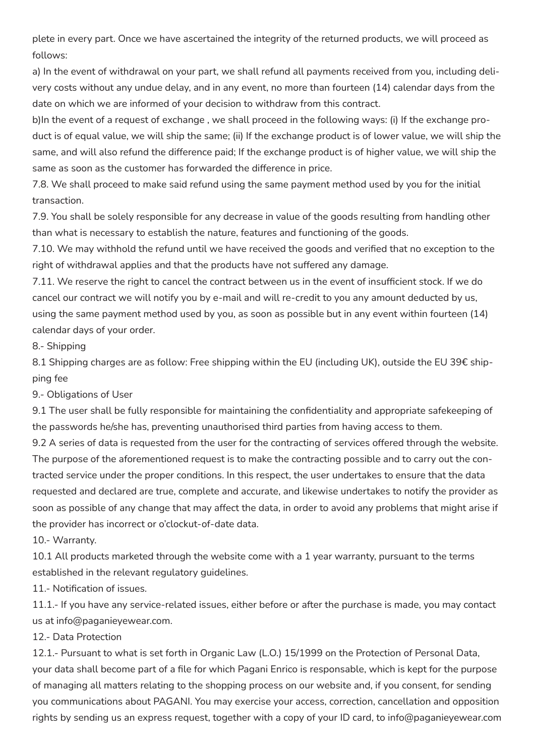plete in every part. Once we have ascertained the integrity of the returned products, we will proceed as follows:

a) In the event of withdrawal on your part, we shall refund all payments received from you, including delivery costs without any undue delay, and in any event, no more than fourteen (14) calendar days from the date on which we are informed of your decision to withdraw from this contract.

b)In the event of a request of exchange , we shall proceed in the following ways: (i) If the exchange product is of equal value, we will ship the same; (ii) If the exchange product is of lower value, we will ship the same, and will also refund the difference paid; If the exchange product is of higher value, we will ship the same as soon as the customer has forwarded the difference in price.

7.8. We shall proceed to make said refund using the same payment method used by you for the initial transaction.

7.9. You shall be solely responsible for any decrease in value of the goods resulting from handling other than what is necessary to establish the nature, features and functioning of the goods.

7.10. We may withhold the refund until we have received the goods and verified that no exception to the right of withdrawal applies and that the products have not suffered any damage.

7.11. We reserve the right to cancel the contract between us in the event of insufficient stock. If we do cancel our contract we will notify you by e-mail and will re-credit to you any amount deducted by us, using the same payment method used by you, as soon as possible but in any event within fourteen (14) calendar days of your order.

8.- Shipping

8.1 Shipping charges are as follow: Free shipping within the EU (including UK), outside the EU 39€ shipping fee

9.- Obligations of User

9.1 The user shall be fully responsible for maintaining the confidentiality and appropriate safekeeping of the passwords he/she has, preventing unauthorised third parties from having access to them.

9.2 A series of data is requested from the user for the contracting of services offered through the website. The purpose of the aforementioned request is to make the contracting possible and to carry out the contracted service under the proper conditions. In this respect, the user undertakes to ensure that the data requested and declared are true, complete and accurate, and likewise undertakes to notify the provider as soon as possible of any change that may affect the data, in order to avoid any problems that might arise if the provider has incorrect or o'clockut-of-date data.

10.- Warranty.

10.1 All products marketed through the website come with a 1 year warranty, pursuant to the terms established in the relevant regulatory guidelines.

11.- Notification of issues.

11.1.- If you have any service-related issues, either before or after the purchase is made, you may contact us at info@paganieyewear.com.

## 12.- Data Protection

12.1.- Pursuant to what is set forth in Organic Law (L.O.) 15/1999 on the Protection of Personal Data, your data shall become part of a file for which Pagani Enrico is responsable, which is kept for the purpose of managing all matters relating to the shopping process on our website and, if you consent, for sending you communications about PAGANI. You may exercise your access, correction, cancellation and opposition rights by sending us an express request, together with a copy of your ID card, to info@paganieyewear.com